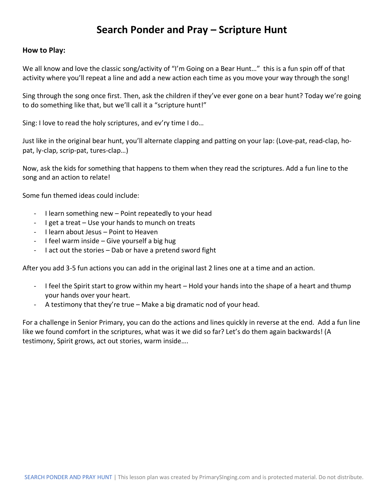#### **Search Ponder and Pray – Scripture Hunt**

#### **How to Play:**

We all know and love the classic song/activity of "I'm Going on a Bear Hunt..." this is a fun spin off of that activity where you'll repeat a line and add a new action each time as you move your way through the song!

Sing through the song once first. Then, ask the children if they've ever gone on a bear hunt? Today we're going to do something like that, but we'll call it a "scripture hunt!"

Sing: I love to read the holy scriptures, and ev'ry time I do…

Just like in the original bear hunt, you'll alternate clapping and patting on your lap: (Love-pat, read-clap, hopat, ly-clap, scrip-pat, tures-clap…)

Now, ask the kids for something that happens to them when they read the scriptures. Add a fun line to the song and an action to relate!

Some fun themed ideas could include:

- I learn something new Point repeatedly to your head
- I get a treat Use your hands to munch on treats
- I learn about Jesus Point to Heaven
- I feel warm inside Give yourself a big hug
- I act out the stories Dab or have a pretend sword fight

After you add 3-5 fun actions you can add in the original last 2 lines one at a time and an action.

- I feel the Spirit start to grow within my heart Hold your hands into the shape of a heart and thump your hands over your heart.
- A testimony that they're true Make a big dramatic nod of your head.

For a challenge in Senior Primary, you can do the actions and lines quickly in reverse at the end. Add a fun line like we found comfort in the scriptures, what was it we did so far? Let's do them again backwards! (A testimony, Spirit grows, act out stories, warm inside….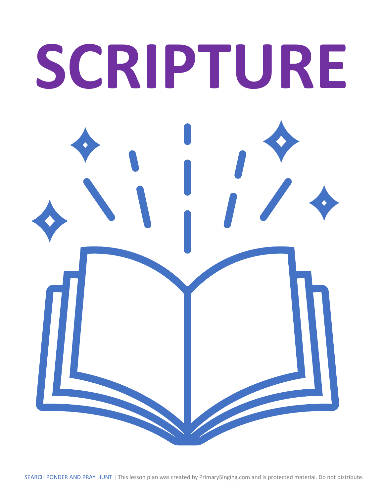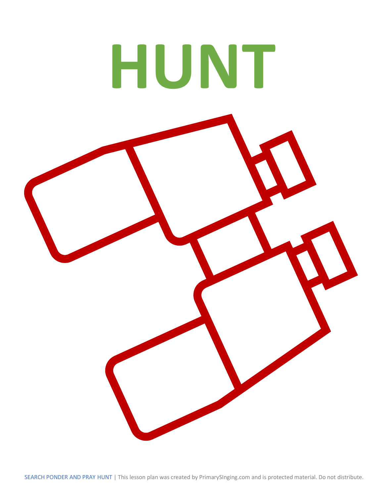